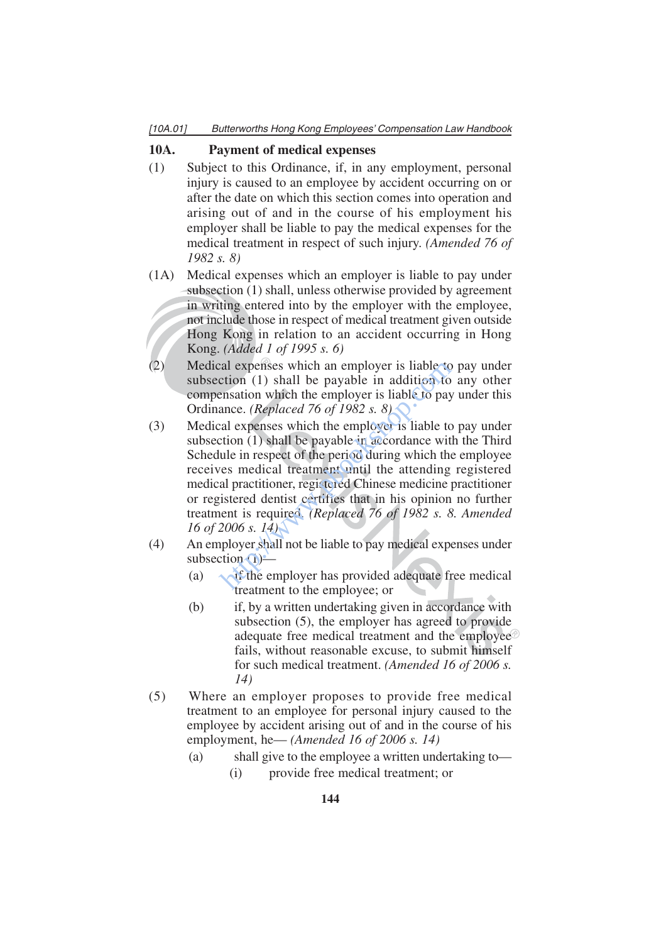## **10A. Payment of medical expenses**

- (1) Subject to this Ordinance, if, in any employment, personal injury is caused to an employee by accident occurring on or after the date on which this section comes into operation and arising out of and in the course of his employment his employer shall be liable to pay the medical expenses for the medical treatment in respect of such injury. *(Amended 76 of 1982 s. 8)*
- (1A) Medical expenses which an employer is liable to pay under subsection (1) shall, unless otherwise provided by agreement in writing entered into by the employer with the employee, not include those in respect of medical treatment given outside Hong Kong in relation to an accident occurring in Hong Kong. *(Added 1 of 1995 s. 6)*
- (2) Medical expenses which an employer is liable to pay under subsection (1) shall be payable in addition to any other compensation which the employer is liable to pay under this Ordinance. *(Replaced 76 of 1982 s. 8)*
- (3) Medical expenses which the employer is liable to pay under subsection (1) shall be payable in accordance with the Third Schedule in respect of the period during which the employee receives medical treatment until the attending registered medical practitioner, registered Chinese medicine practitioner or registered dentist certifies that in his opinion no further treatment is required. *(Replaced 76 of 1982 s. 8. Amended 16 of 2006 s. 14)* cal expenses which an employer is liable to<br>ction (1) shall be payable in addition to<br>ensation which the employer is liable to pay<br>ance. (*Replaced 76 of 1982 s. 8*)<br>cal expenses which the employer is liable to<br>ction (1)
- (4) An employer shall not be liable to pay medical expenses under subsection  $\left(1\right)$  —
	- (a)  $\sim$  if the employer has provided adequate free medical treatment to the employee; or
	- (b) if, by a written undertaking given in accordance with subsection (5), the employer has agreed to provide adequate free medical treatment and the employee fails, without reasonable excuse, to submit himself for such medical treatment. *(Amended 16 of 2006 s. 14)*
- (5) Where an employer proposes to provide free medical treatment to an employee for personal injury caused to the employee by accident arising out of and in the course of his employment, he— *(Amended 16 of 2006 s. 14)*
	- (a) shall give to the employee a written undertaking to—
		- (i) provide free medical treatment; or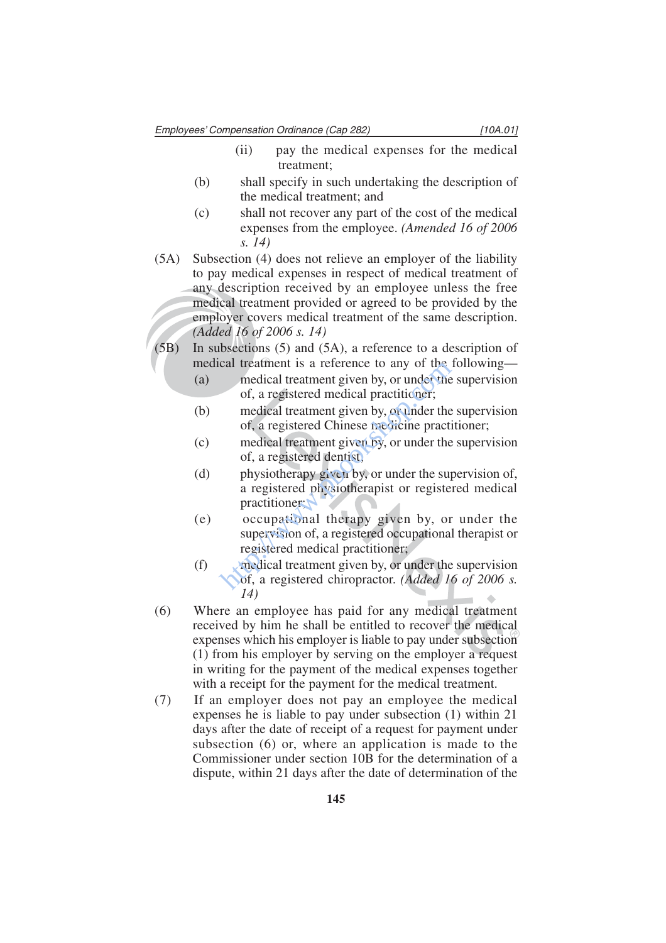Employees' Compensation Ordinance (Cap 282) [10A.01]

- (ii) pay the medical expenses for the medical treatment;
- (b) shall specify in such undertaking the description of the medical treatment; and
- (c) shall not recover any part of the cost of the medical expenses from the employee. *(Amended 16 of 2006 s. 14)*
- (5A) Subsection (4) does not relieve an employer of the liability to pay medical expenses in respect of medical treatment of any description received by an employee unless the free medical treatment provided or agreed to be provided by the employer covers medical treatment of the same description. *(Added 16 of 2006 s. 14)*
- (5B) In subsections (5) and (5A), a reference to a description of medical treatment is a reference to any of the following—
	- (a) medical treatment given by, or under the supervision of, a registered medical practitioner;
	- (b) medical treatment given by, or under the supervision of, a registered Chinese medicine practitioner;
	- (c) medical treatment given by, or under the supervision of, a registered dentist;
	- (d) physiotherapy given by, or under the supervision of, a registered physiotherapist or registered medical practitioner; cal treatment is a reference to any of the<br>medical treatment given by, or under the<br>of, a registered medical practitioner;<br>medical treatment given by, or under the<br>of, a registered Chinese medicine practi<br>medical treatment
	- (e) occupational therapy given by, or under the supervision of, a registered occupational therapist or registered medical practitioner;
	- (f) medical treatment given by, or under the supervision of, a registered chiropractor. *(Added 16 of 2006 s. 14)*
- (6) Where an employee has paid for any medical treatment received by him he shall be entitled to recover the medical expenses which his employer is liable to pay under subsection (1) from his employer by serving on the employer a request in writing for the payment of the medical expenses together with a receipt for the payment for the medical treatment.
- (7) If an employer does not pay an employee the medical expenses he is liable to pay under subsection (1) within 21 days after the date of receipt of a request for payment under subsection (6) or, where an application is made to the Commissioner under section 10B for the determination of a dispute, within 21 days after the date of determination of the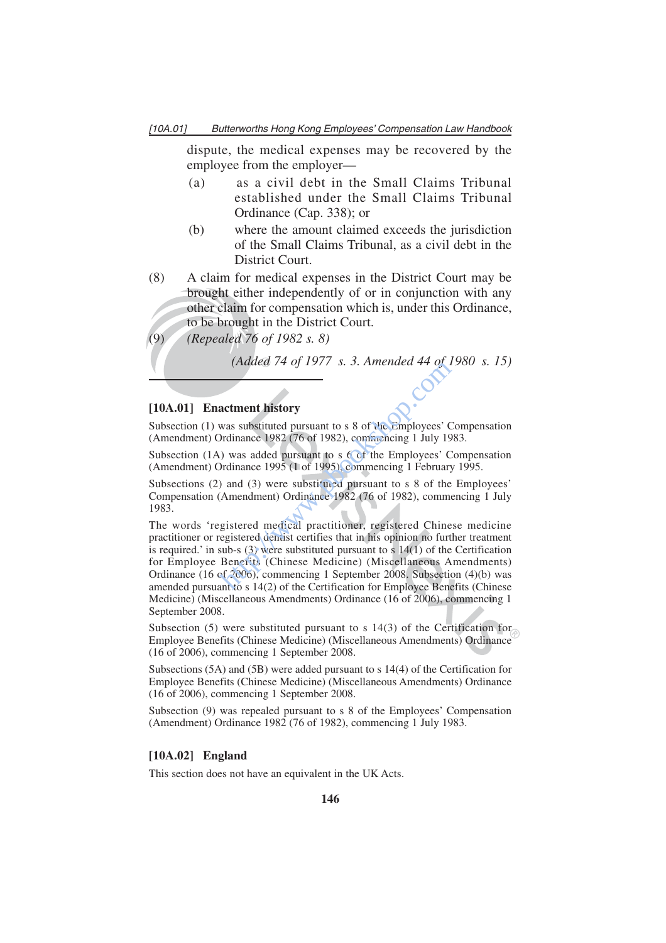dispute, the medical expenses may be recovered by the employee from the employer—

- (a) as a civil debt in the Small Claims Tribunal established under the Small Claims Tribunal Ordinance (Cap. 338); or
- (b) where the amount claimed exceeds the jurisdiction of the Small Claims Tribunal, as a civil debt in the District Court.
- (8) A claim for medical expenses in the District Court may be brought either independently of or in conjunction with any other claim for compensation which is, under this Ordinance, to be brought in the District Court.
- (9) *(Repealed 76 of 1982 s. 8)*

*(Added 74 of 1977 s. 3. Amended 44 of 1980 s. 15)*

#### **[10A.01] Enactment history**

Subsection (1) was substituted pursuant to s 8 of the Employees' Compensation (Amendment) Ordinance 1982 (76 of 1982), commencing 1 July 1983.

Subsection (1A) was added pursuant to s 6 of the Employees' Compensation (Amendment) Ordinance 1995 (1 of 1995), commencing 1 February 1995.

Subsections (2) and (3) were substituted pursuant to s 8 of the Employees' Compensation (Amendment) Ordinance 1982 (76 of 1982), commencing 1 July 1983.

The words 'registered medical practitioner, registered Chinese medicine practitioner or registered dentist certifies that in his opinion no further treatment is required.' in sub-s  $(3)$  were substituted pursuant to s 14(1) of the Certification for Employee Benefits (Chinese Medicine) (Miscellaneous Amendments) Ordinance (16 of 2006), commencing 1 September 2008. Subsection (4)(b) was amended pursuant to s 14(2) of the Certification for Employee Benefits (Chinese Medicine) (Miscellaneous Amendments) Ordinance (16 of 2006), commencing 1 September 2008. (Added 74 0J 1977 S. 3. Amended 44 0J 1<br>
actment history<br>
was substituted pursuant to s 8 of the Employees' C<br>
Drdinance 1982 (76 of 1982), commencing 1 July 19<br>
(a) was added pursuant to s 6 of the Employees' C<br>
Drdinanc

Subsection (5) were substituted pursuant to s 14(3) of the Certification for Employee Benefits (Chinese Medicine) (Miscellaneous Amendments) Ordinance (16 of 2006), commencing 1 September 2008.

Subsections (5A) and (5B) were added pursuant to s 14(4) of the Certification for Employee Benefits (Chinese Medicine) (Miscellaneous Amendments) Ordinance (16 of 2006), commencing 1 September 2008.

Subsection (9) was repealed pursuant to s 8 of the Employees' Compensation (Amendment) Ordinance 1982 (76 of 1982), commencing 1 July 1983.

## **[10A.02] England**

This section does not have an equivalent in the UK Acts.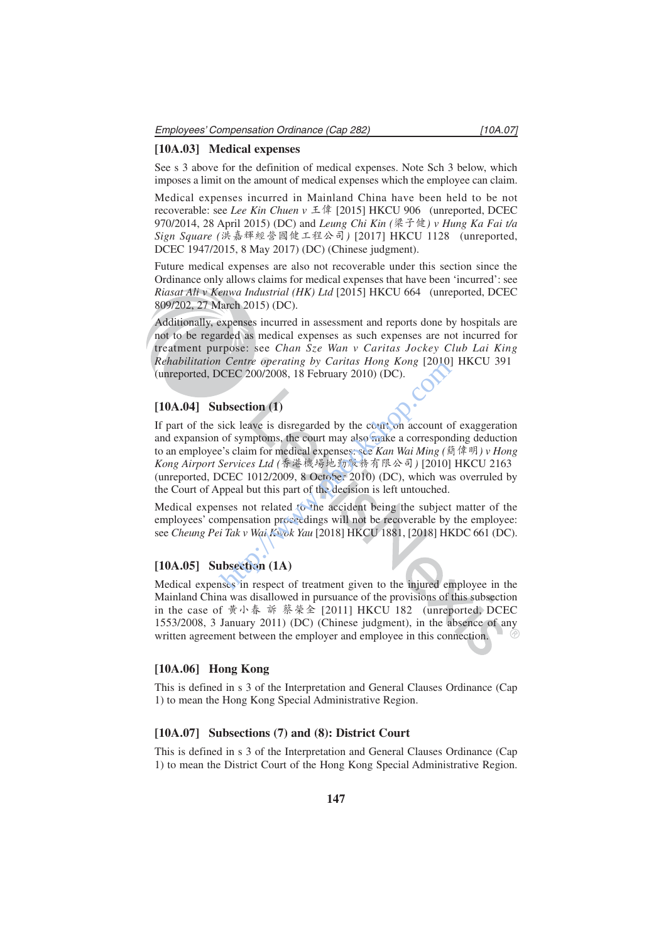#### **[10A.03] Medical expenses**

See s 3 above for the definition of medical expenses. Note Sch 3 below, which imposes a limit on the amount of medical expenses which the employee can claim.

Medical expenses incurred in Mainland China have been held to be not recoverable: see *Lee Kin Chuen v* 王偉 [2015] HKCU 906 (unreported, DCEC 970/2014, 28 April 2015) (DC) and *Leung Chi Kin (*梁子健*) v Hung Ka Fai t/a Sign Square (*洪嘉輝經營國健工程公司*)* [2017] HKCU 1128 (unreported, DCEC 1947/2015, 8 May 2017) (DC) (Chinese judgment).

Future medical expenses are also not recoverable under this section since the Ordinance only allows claims for medical expenses that have been 'incurred': see *Riasat Ali v Kenwa Industrial (HK) Ltd* [2015] HKCU 664 (unreported, DCEC 809/202, 27 March 2015) (DC).

Additionally, expenses incurred in assessment and reports done by hospitals are not to be regarded as medical expenses as such expenses are not incurred for treatment purpose: see *Chan Sze Wan v Caritas Jockey Club Lai King Rehabilitation Centre operating by Caritas Hong Kong* [2010] HKCU 391 (unreported, DCEC 200/2008, 18 February 2010) (DC).

#### **[10A.04] Subsection (1)**

If part of the sick leave is disregarded by the court on account of exaggeration and expansion of symptoms, the court may also make a corresponding deduction to an employee's claim for medical expenses: see *Kan Wai Ming (*簡偉明*) v Hong Kong Airport Services Ltd (*香港機場地勤服務有限公司*)* [2010] HKCU 2163 (unreported, DCEC 1012/2009, 8 October 2010) (DC), which was overruled by the Court of Appeal but this part of the decision is left untouched. the centre operating by Cartias Hong Kong [2010]<br>
CEC 200/2008, 18 February 2010) (DC).<br>
<br> **Ibsection (1)**<br>
sick leave is disregarded by the court on account of<br>
of symptoms, the court may also make a corresponce's claim

Medical expenses not related to the accident being the subject matter of the employees' compensation proceedings will not be recoverable by the employee: see *Cheung Pei Tak v Wai Kwok Yau* [2018] HKCU 1881, [2018] HKDC 661 (DC).

## **[10A.05] Subsection (1A)**

Medical expenses in respect of treatment given to the injured employee in the Mainland China was disallowed in pursuance of the provisions of this subsection in the case of 黃小春 訴 蔡榮全 [2011] HKCU 182 (unreported, DCEC 1553/2008, 3 January 2011) (DC) (Chinese judgment), in the absence of any written agreement between the employer and employee in this connection.

#### **[10A.06] Hong Kong**

This is defined in s 3 of the Interpretation and General Clauses Ordinance (Cap 1) to mean the Hong Kong Special Administrative Region.

### **[10A.07] Subsections (7) and (8): District Court**

This is defined in s 3 of the Interpretation and General Clauses Ordinance (Cap 1) to mean the District Court of the Hong Kong Special Administrative Region.